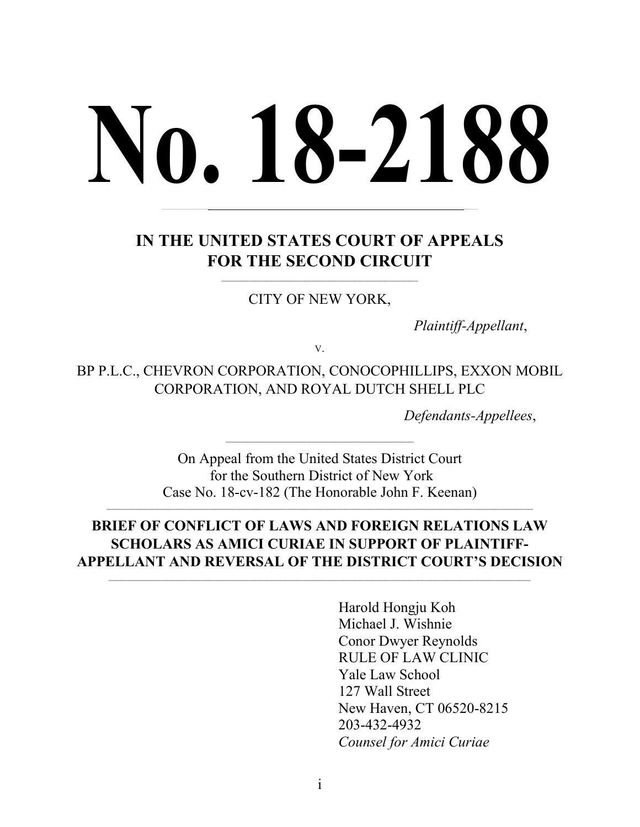# **No. 18-2188**

# **IN THE UNITED STATES COURT OF APPEALS FOR THE SECOND CIRCUIT**

**\_\_\_\_\_\_\_\_\_\_\_\_\_\_\_\_\_\_\_\_\_\_\_\_\_\_\_\_\_\_\_\_\_\_\_\_\_\_\_\_\_\_\_\_\_\_ \_\_\_\_\_\_\_\_\_\_\_\_\_\_**

CITY OF NEW YORK,

 $\_$  ,  $\_$  ,  $\_$  ,  $\_$  ,  $\_$  ,  $\_$  ,  $\_$  ,  $\_$  ,  $\_$  ,  $\_$  ,  $\_$  ,  $\_$  ,  $\_$  ,  $\_$  ,  $\_$ 

*Plaintiff-Appellant*,

V.

BP P.L.C., CHEVRON CORPORATION, CONOCOPHILLIPS, EXXON MOBIL CORPORATION, AND ROYAL DUTCH SHELL PLC

*Defendants-Appellees*,

On Appeal from the United States District Court for the Southern District of New York Case No. 18-cv-182 (The Honorable John F. Keenan)

 $\overline{a}$  , and the set of the set of the set of the set of the set of the set of the set of the set of the set of the set of the set of the set of the set of the set of the set of the set of the set of the set of the set

# **BRIEF OF CONFLICT OF LAWS AND FOREIGN RELATIONS LAW SCHOLARS AS AMICI CURIAE IN SUPPORT OF PLAINTIFF-APPELLANT AND REVERSAL OF THE DISTRICT COURT'S DECISION**

Harold Hongju Koh Michael J. Wishnie Conor Dwyer Reynolds RULE OF LAW CLINIC Yale Law School 127 Wall Street New Haven, CT 06520-8215 203-432-4932 *Counsel for Amici Curiae*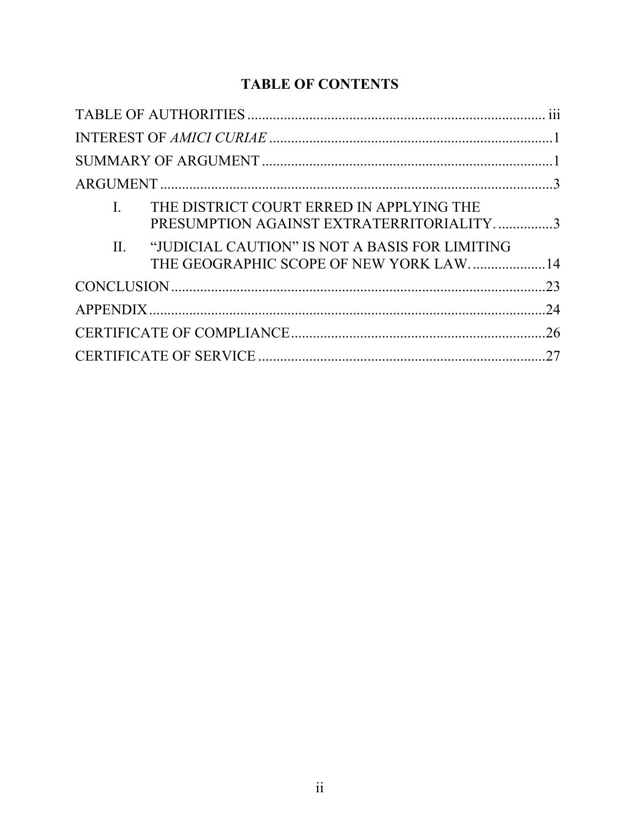# **TABLE OF CONTENTS**

| $\mathbf{I}$ . | THE DISTRICT COURT ERRED IN APPLYING THE<br>PRESUMPTION AGAINST EXTRATERRITORIALITY3         |  |
|----------------|----------------------------------------------------------------------------------------------|--|
|                | II. "JUDICIAL CAUTION" IS NOT A BASIS FOR LIMITING<br>THE GEOGRAPHIC SCOPE OF NEW YORK LAW14 |  |
|                |                                                                                              |  |
|                |                                                                                              |  |
|                |                                                                                              |  |
|                |                                                                                              |  |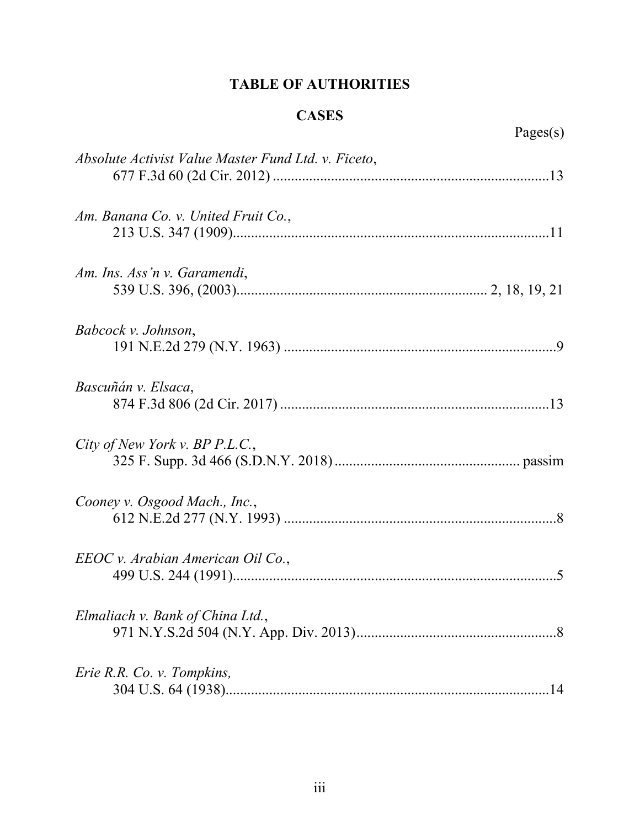# **TABLE OF AUTHORITIES**

# **CASES**

<span id="page-2-0"></span>

| Absolute Activist Value Master Fund Ltd. v. Ficeto, |  |
|-----------------------------------------------------|--|
| Am. Banana Co. v. United Fruit Co.,                 |  |
| Am. Ins. Ass'n v. Garamendi,                        |  |
| Babcock v. Johnson,                                 |  |
| Bascuñán v. Elsaca,                                 |  |
| City of New York v. BP P.L.C.,                      |  |
| Cooney v. Osgood Mach., Inc.,                       |  |
| EEOC v. Arabian American Oil Co.,                   |  |
| Elmaliach v. Bank of China Ltd.,                    |  |
| Erie R.R. Co. v. Tompkins,                          |  |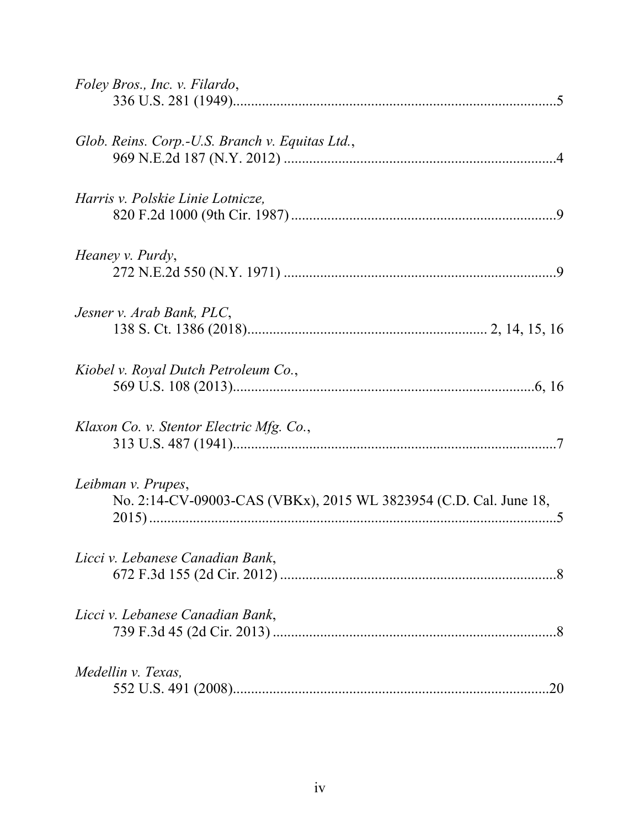| Foley Bros., Inc. v. Filardo,                                                           |
|-----------------------------------------------------------------------------------------|
| Glob. Reins. Corp.-U.S. Branch v. Equitas Ltd.,                                         |
| Harris v. Polskie Linie Lotnicze,                                                       |
| Heaney v. Purdy,                                                                        |
| Jesner v. Arab Bank, PLC,                                                               |
| Kiobel v. Royal Dutch Petroleum Co.,                                                    |
| Klaxon Co. v. Stentor Electric Mfg. Co.,                                                |
| Leibman v. Prupes,<br>No. 2:14-CV-09003-CAS (VBKx), 2015 WL 3823954 (C.D. Cal. June 18, |
| Licci v. Lebanese Canadian Bank,                                                        |
| Licci v. Lebanese Canadian Bank,                                                        |
| Medellin v. Texas,                                                                      |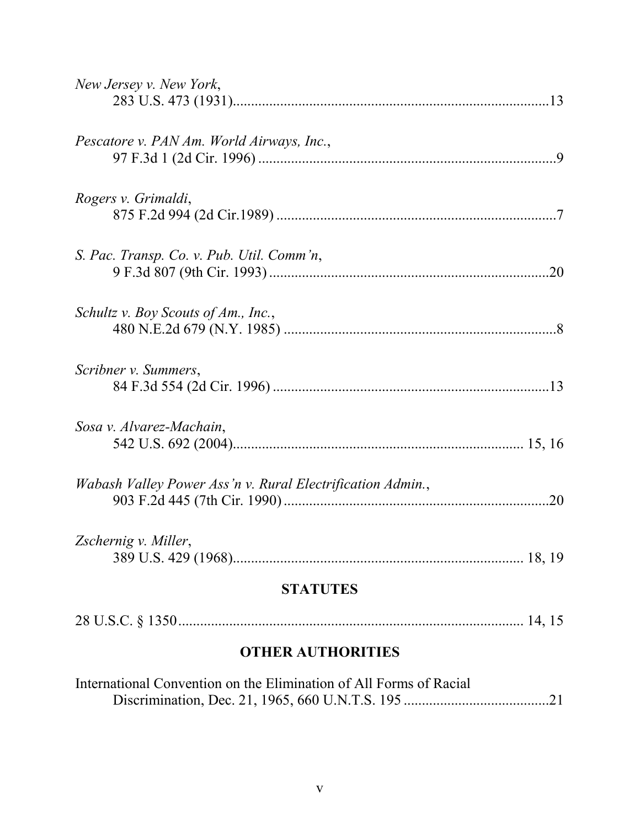| <b>OTHER AUTHORITIES</b>                                   |     |
|------------------------------------------------------------|-----|
|                                                            |     |
| <b>STATUTES</b>                                            |     |
| Zschernig v. Miller,                                       |     |
| Wabash Valley Power Ass'n v. Rural Electrification Admin., | .20 |
| Sosa v. Alvarez-Machain,                                   |     |
| Scribner v. Summers,                                       |     |
| Schultz v. Boy Scouts of Am., Inc.,                        |     |
| S. Pac. Transp. Co. v. Pub. Util. Comm'n,                  |     |
| Rogers v. Grimaldi,                                        |     |
| Pescatore v. PAN Am. World Airways, Inc.,                  |     |
| New Jersey v. New York,                                    |     |

| International Convention on the Elimination of All Forms of Racial |  |  |
|--------------------------------------------------------------------|--|--|
|                                                                    |  |  |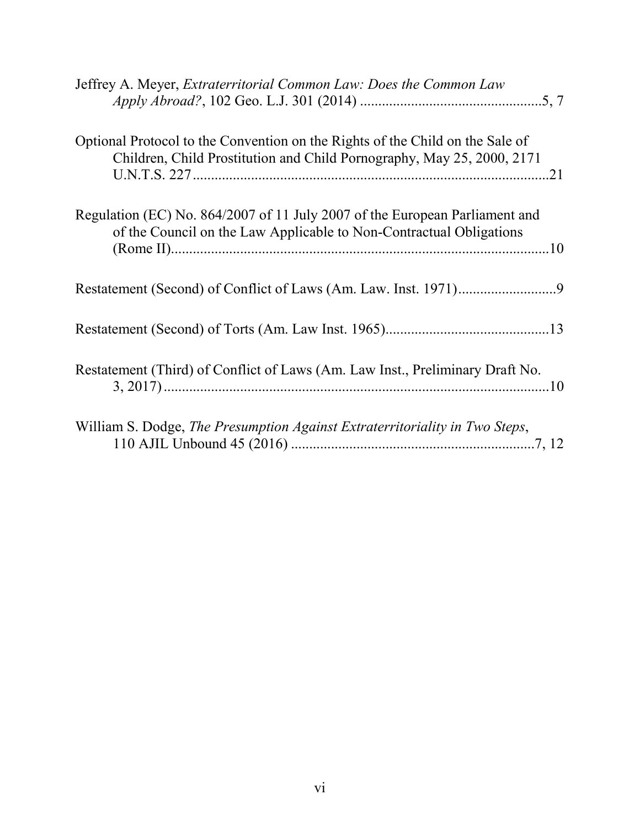| Jeffrey A. Meyer, <i>Extraterritorial Common Law: Does the Common Law</i>                                                                               |
|---------------------------------------------------------------------------------------------------------------------------------------------------------|
| Optional Protocol to the Convention on the Rights of the Child on the Sale of<br>Children, Child Prostitution and Child Pornography, May 25, 2000, 2171 |
| Regulation (EC) No. 864/2007 of 11 July 2007 of the European Parliament and<br>of the Council on the Law Applicable to Non-Contractual Obligations      |
|                                                                                                                                                         |
|                                                                                                                                                         |
| Restatement (Third) of Conflict of Laws (Am. Law Inst., Preliminary Draft No.                                                                           |
| William S. Dodge, The Presumption Against Extraterritoriality in Two Steps,                                                                             |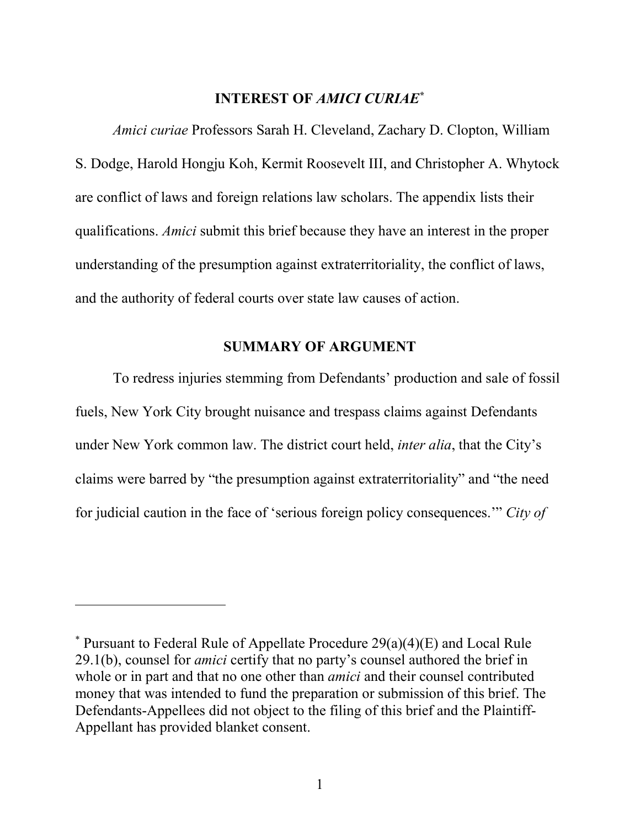#### **INTEREST OF** *AMICI CURIAE***[\\*](#page-6-2)**

<span id="page-6-0"></span>*Amici curiae* Professors Sarah H. Cleveland, Zachary D. Clopton, William S. Dodge, Harold Hongju Koh, Kermit Roosevelt III, and Christopher A. Whytock are conflict of laws and foreign relations law scholars. The appendix lists their qualifications. *Amici* submit this brief because they have an interest in the proper understanding of the presumption against extraterritoriality, the conflict of laws, and the authority of federal courts over state law causes of action.

## **SUMMARY OF ARGUMENT**

<span id="page-6-1"></span>To redress injuries stemming from Defendants' production and sale of fossil fuels, New York City brought nuisance and trespass claims against Defendants under New York common law. The district court held, *inter alia*, that the City's claims were barred by "the presumption against extraterritoriality" and "the need for judicial caution in the face of 'serious foreign policy consequences.'" *City of* 

l

<span id="page-6-2"></span> $*$  Pursuant to Federal Rule of Appellate Procedure 29(a)(4)(E) and Local Rule 29.1(b), counsel for *amici* certify that no party's counsel authored the brief in whole or in part and that no one other than *amici* and their counsel contributed money that was intended to fund the preparation or submission of this brief. The Defendants-Appellees did not object to the filing of this brief and the Plaintiff-Appellant has provided blanket consent.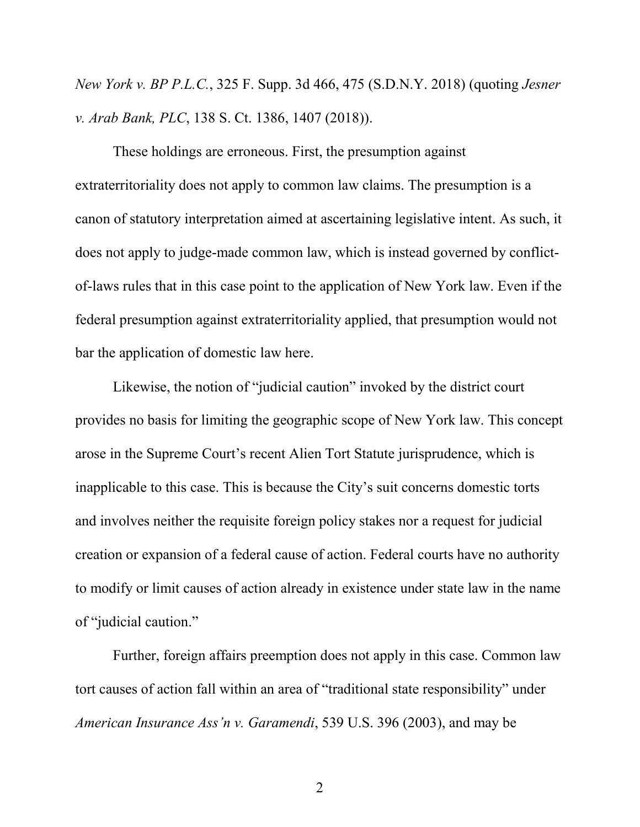*New York v. BP P.L.C.*, 325 F. Supp. 3d 466, 475 (S.D.N.Y. 2018) (quoting *Jesner v. Arab Bank, PLC*, 138 S. Ct. 1386, 1407 (2018)).

These holdings are erroneous. First, the presumption against extraterritoriality does not apply to common law claims. The presumption is a canon of statutory interpretation aimed at ascertaining legislative intent. As such, it does not apply to judge-made common law, which is instead governed by conflictof-laws rules that in this case point to the application of New York law. Even if the federal presumption against extraterritoriality applied, that presumption would not bar the application of domestic law here.

Likewise, the notion of "judicial caution" invoked by the district court provides no basis for limiting the geographic scope of New York law. This concept arose in the Supreme Court's recent Alien Tort Statute jurisprudence, which is inapplicable to this case. This is because the City's suit concerns domestic torts and involves neither the requisite foreign policy stakes nor a request for judicial creation or expansion of a federal cause of action. Federal courts have no authority to modify or limit causes of action already in existence under state law in the name of "judicial caution."

Further, foreign affairs preemption does not apply in this case. Common law tort causes of action fall within an area of "traditional state responsibility" under *American Insurance Ass'n v. Garamendi*, 539 U.S. 396 (2003), and may be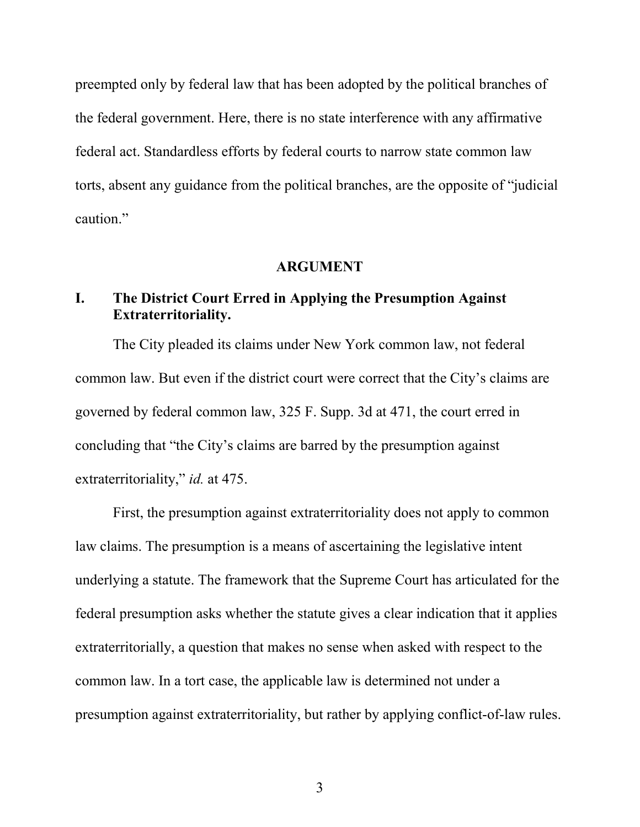preempted only by federal law that has been adopted by the political branches of the federal government. Here, there is no state interference with any affirmative federal act. Standardless efforts by federal courts to narrow state common law torts, absent any guidance from the political branches, are the opposite of "judicial caution."

#### **ARGUMENT**

# <span id="page-8-1"></span><span id="page-8-0"></span>**I. The District Court Erred in Applying the Presumption Against Extraterritoriality.**

The City pleaded its claims under New York common law, not federal common law. But even if the district court were correct that the City's claims are governed by federal common law, 325 F. Supp. 3d at 471, the court erred in concluding that "the City's claims are barred by the presumption against extraterritoriality," *id.* at 475.

First, the presumption against extraterritoriality does not apply to common law claims. The presumption is a means of ascertaining the legislative intent underlying a statute. The framework that the Supreme Court has articulated for the federal presumption asks whether the statute gives a clear indication that it applies extraterritorially, a question that makes no sense when asked with respect to the common law. In a tort case, the applicable law is determined not under a presumption against extraterritoriality, but rather by applying conflict-of-law rules.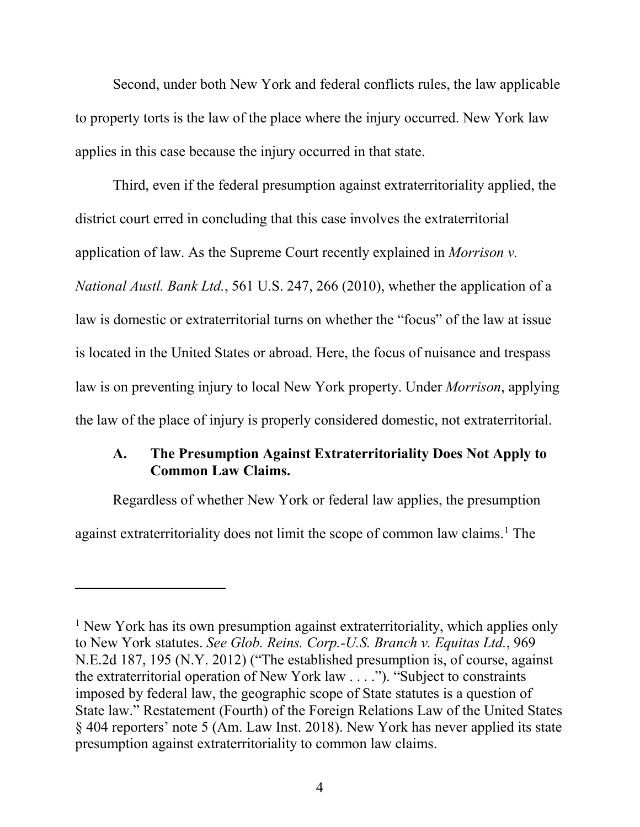Second, under both New York and federal conflicts rules, the law applicable to property torts is the law of the place where the injury occurred. New York law applies in this case because the injury occurred in that state.

Third, even if the federal presumption against extraterritoriality applied, the district court erred in concluding that this case involves the extraterritorial application of law. As the Supreme Court recently explained in *Morrison v. National Austl. Bank Ltd.*, 561 U.S. 247, 266 (2010), whether the application of a law is domestic or extraterritorial turns on whether the "focus" of the law at issue is located in the United States or abroad. Here, the focus of nuisance and trespass law is on preventing injury to local New York property. Under *Morrison*, applying the law of the place of injury is properly considered domestic, not extraterritorial.

## **A. The Presumption Against Extraterritoriality Does Not Apply to Common Law Claims.**

Regardless of whether New York or federal law applies, the presumption against extraterritoriality does not limit the scope of common law claims.<sup>[1](#page-9-0)</sup> The

l

<span id="page-9-0"></span><sup>&</sup>lt;sup>1</sup> New York has its own presumption against extraterritoriality, which applies only to New York statutes. *See Glob. Reins. Corp.-U.S. Branch v. Equitas Ltd.*, 969 N.E.2d 187, 195 (N.Y. 2012) ("The established presumption is, of course, against the extraterritorial operation of New York law . . . ."). "Subject to constraints imposed by federal law, the geographic scope of State statutes is a question of State law." Restatement (Fourth) of the Foreign Relations Law of the United States § 404 reporters' note 5 (Am. Law Inst. 2018). New York has never applied its state presumption against extraterritoriality to common law claims.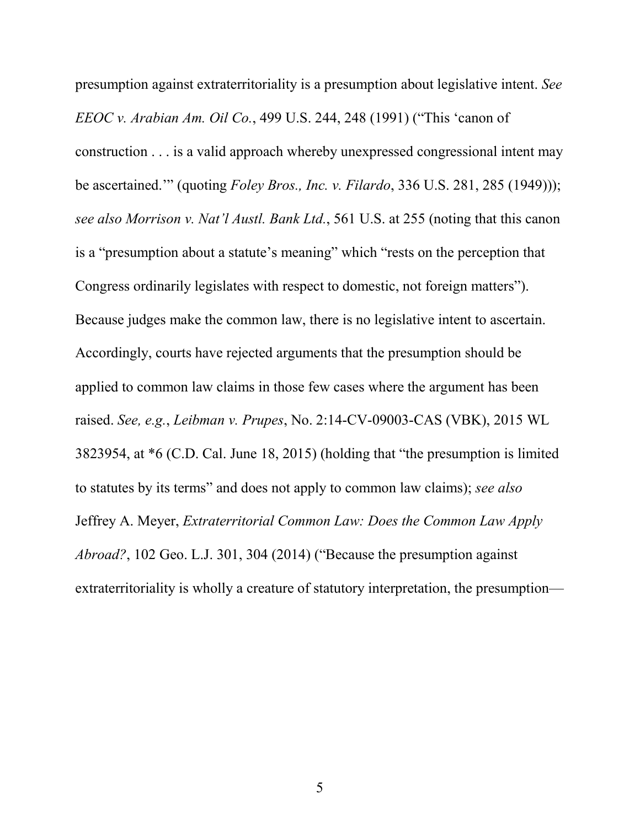presumption against extraterritoriality is a presumption about legislative intent. *See EEOC v. Arabian Am. Oil Co.*, 499 U.S. 244, 248 (1991) ("This 'canon of construction . . . is a valid approach whereby unexpressed congressional intent may be ascertained.'" (quoting *Foley Bros., Inc. v. Filardo*, 336 U.S. 281, 285 (1949))); *see also Morrison v. Nat'l Austl. Bank Ltd.*, 561 U.S. at 255 (noting that this canon is a "presumption about a statute's meaning" which "rests on the perception that Congress ordinarily legislates with respect to domestic, not foreign matters"). Because judges make the common law, there is no legislative intent to ascertain. Accordingly, courts have rejected arguments that the presumption should be applied to common law claims in those few cases where the argument has been raised. *See, e.g.*, *Leibman v. Prupes*, No. 2:14-CV-09003-CAS (VBK), 2015 WL 3823954, at \*6 (C.D. Cal. June 18, 2015) (holding that "the presumption is limited to statutes by its terms" and does not apply to common law claims); *see also* Jeffrey A. Meyer, *Extraterritorial Common Law: Does the Common Law Apply Abroad?*, 102 Geo. L.J. 301, 304 (2014) ("Because the presumption against extraterritoriality is wholly a creature of statutory interpretation, the presumption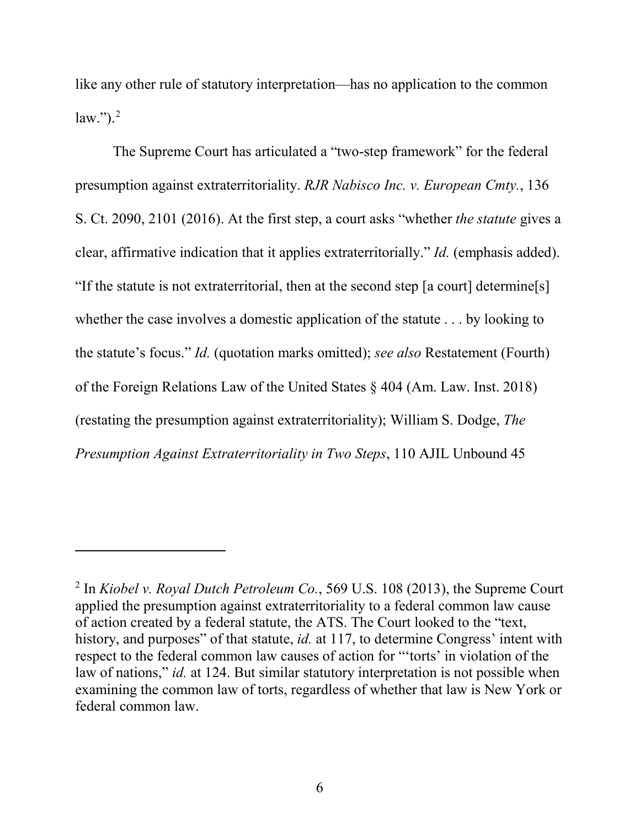like any other rule of statutory interpretation—has no application to the common law."). [2](#page-11-0)

The Supreme Court has articulated a "two-step framework" for the federal presumption against extraterritoriality. *RJR Nabisco Inc. v. European Cmty.*, 136 S. Ct. 2090, 2101 (2016). At the first step, a court asks "whether *the statute* gives a clear, affirmative indication that it applies extraterritorially." *Id.* (emphasis added). "If the statute is not extraterritorial, then at the second step [a court] determine[s] whether the case involves a domestic application of the statute . . . by looking to the statute's focus." *Id.* (quotation marks omitted); *see also* Restatement (Fourth) of the Foreign Relations Law of the United States § 404 (Am. Law. Inst. 2018) (restating the presumption against extraterritoriality); William S. Dodge, *The Presumption Against Extraterritoriality in Two Steps*, 110 AJIL Unbound 45

 $\overline{\phantom{a}}$ 

<span id="page-11-0"></span><sup>2</sup> In *Kiobel v. Royal Dutch Petroleum Co.*, 569 U.S. 108 (2013), the Supreme Court applied the presumption against extraterritoriality to a federal common law cause of action created by a federal statute, the ATS. The Court looked to the "text, history, and purposes" of that statute, *id.* at 117, to determine Congress' intent with respect to the federal common law causes of action for "'torts' in violation of the law of nations," *id.* at 124. But similar statutory interpretation is not possible when examining the common law of torts, regardless of whether that law is New York or federal common law.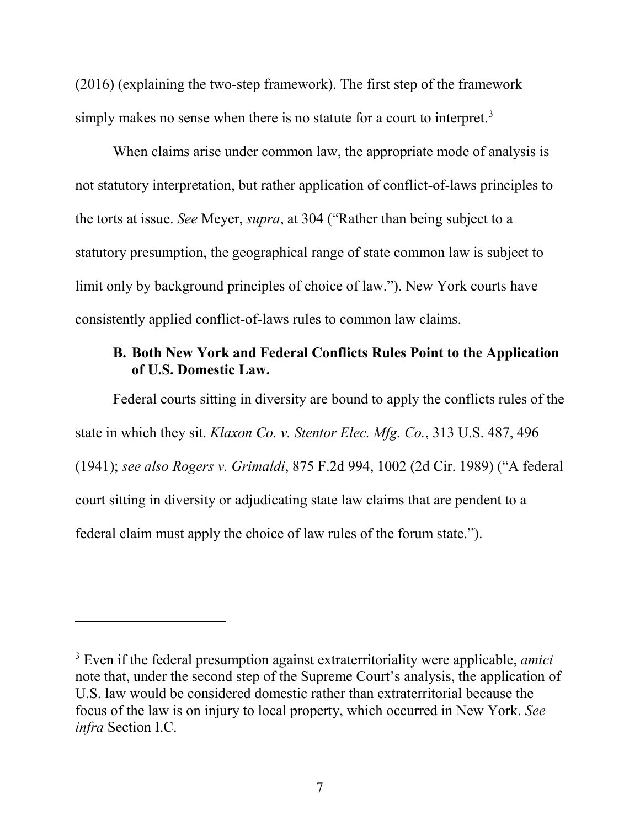(2016) (explaining the two-step framework). The first step of the framework simply makes no sense when there is no statute for a court to interpret.<sup>[3](#page-12-0)</sup>

When claims arise under common law, the appropriate mode of analysis is not statutory interpretation, but rather application of conflict-of-laws principles to the torts at issue. *See* Meyer, *supra*, at 304 ("Rather than being subject to a statutory presumption, the geographical range of state common law is subject to limit only by background principles of choice of law."). New York courts have consistently applied conflict-of-laws rules to common law claims.

# **B. Both New York and Federal Conflicts Rules Point to the Application of U.S. Domestic Law.**

Federal courts sitting in diversity are bound to apply the conflicts rules of the state in which they sit. *Klaxon Co. v. Stentor Elec. Mfg. Co.*, 313 U.S. 487, 496 (1941); *see also Rogers v. Grimaldi*, 875 F.2d 994, 1002 (2d Cir. 1989) ("A federal court sitting in diversity or adjudicating state law claims that are pendent to a federal claim must apply the choice of law rules of the forum state.").

l

<span id="page-12-0"></span><sup>3</sup> Even if the federal presumption against extraterritoriality were applicable, *amici* note that, under the second step of the Supreme Court's analysis, the application of U.S. law would be considered domestic rather than extraterritorial because the focus of the law is on injury to local property, which occurred in New York. *See infra* Section I.C.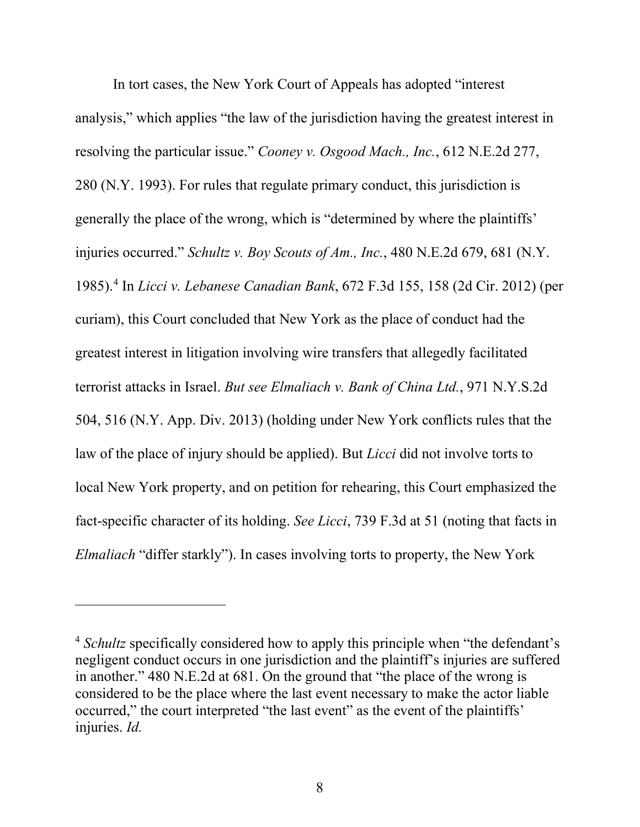In tort cases, the New York Court of Appeals has adopted "interest analysis," which applies "the law of the jurisdiction having the greatest interest in resolving the particular issue." *Cooney v. Osgood Mach., Inc.*, 612 N.E.2d 277, 280 (N.Y. 1993). For rules that regulate primary conduct, this jurisdiction is generally the place of the wrong, which is "determined by where the plaintiffs' injuries occurred." *Schultz v. Boy Scouts of Am., Inc.*, 480 N.E.2d 679, 681 (N.Y. 1985). [4](#page-13-0) In *Licci v. Lebanese Canadian Bank*, 672 F.3d 155, 158 (2d Cir. 2012) (per curiam), this Court concluded that New York as the place of conduct had the greatest interest in litigation involving wire transfers that allegedly facilitated terrorist attacks in Israel. *But see Elmaliach v. Bank of China Ltd.*, 971 N.Y.S.2d 504, 516 (N.Y. App. Div. 2013) (holding under New York conflicts rules that the law of the place of injury should be applied). But *Licci* did not involve torts to local New York property, and on petition for rehearing, this Court emphasized the fact-specific character of its holding. *See Licci*, 739 F.3d at 51 (noting that facts in *Elmaliach* "differ starkly"). In cases involving torts to property, the New York

l

<span id="page-13-0"></span><sup>4</sup> *Schultz* specifically considered how to apply this principle when "the defendant's negligent conduct occurs in one jurisdiction and the plaintiff's injuries are suffered in another." 480 N.E.2d at 681. On the ground that "the place of the wrong is considered to be the place where the last event necessary to make the actor liable occurred," the court interpreted "the last event" as the event of the plaintiffs' injuries. *Id.*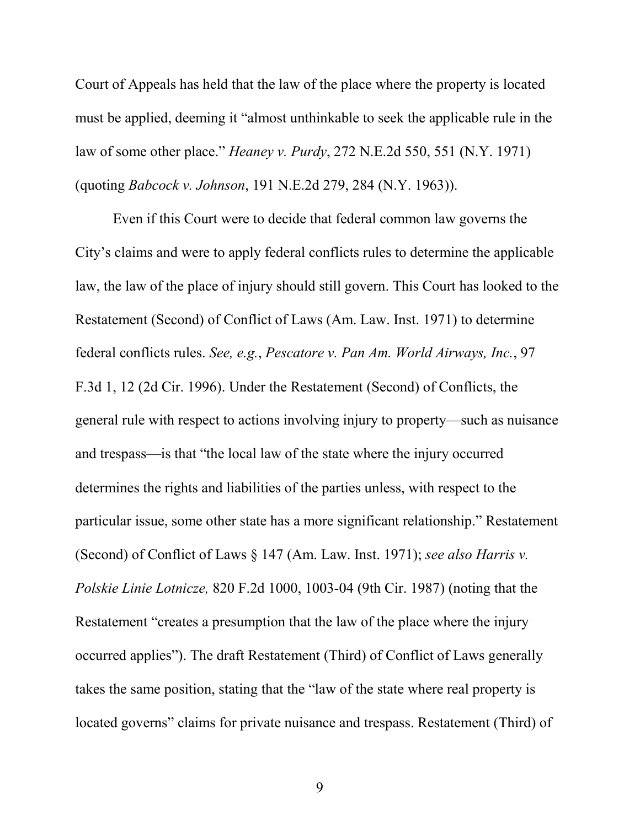Court of Appeals has held that the law of the place where the property is located must be applied, deeming it "almost unthinkable to seek the applicable rule in the law of some other place." *Heaney v. Purdy*, 272 N.E.2d 550, 551 (N.Y. 1971) (quoting *Babcock v. Johnson*, 191 N.E.2d 279, 284 (N.Y. 1963)).

Even if this Court were to decide that federal common law governs the City's claims and were to apply federal conflicts rules to determine the applicable law, the law of the place of injury should still govern. This Court has looked to the Restatement (Second) of Conflict of Laws (Am. Law. Inst. 1971) to determine federal conflicts rules. *See, e.g.*, *Pescatore v. Pan Am. World Airways, Inc.*, 97 F.3d 1, 12 (2d Cir. 1996). Under the Restatement (Second) of Conflicts, the general rule with respect to actions involving injury to property—such as nuisance and trespass—is that "the local law of the state where the injury occurred determines the rights and liabilities of the parties unless, with respect to the particular issue, some other state has a more significant relationship." Restatement (Second) of Conflict of Laws § 147 (Am. Law. Inst. 1971); *see also Harris v. Polskie Linie Lotnicze,* 820 F.2d 1000, 1003-04 (9th Cir. 1987) (noting that the Restatement "creates a presumption that the law of the place where the injury occurred applies"). The draft Restatement (Third) of Conflict of Laws generally takes the same position, stating that the "law of the state where real property is located governs" claims for private nuisance and trespass. Restatement (Third) of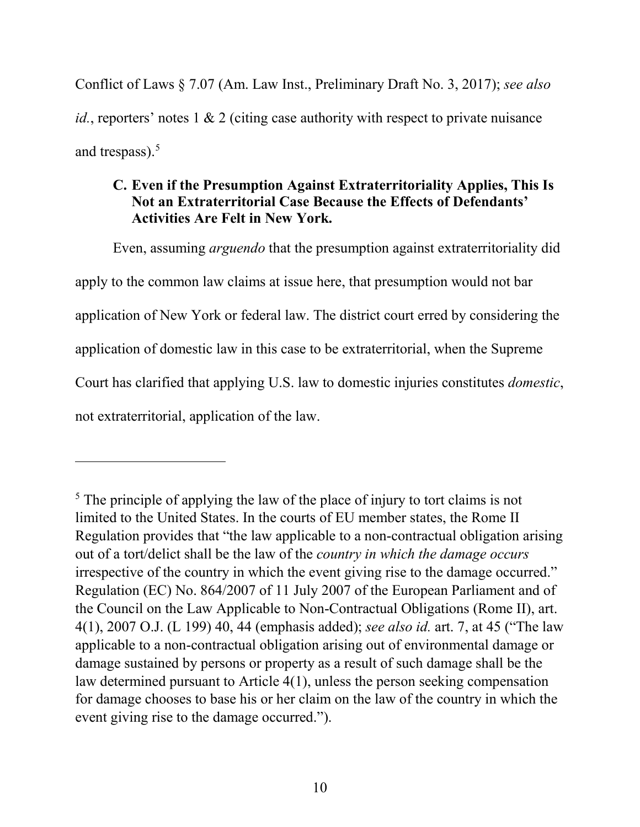Conflict of Laws § 7.07 (Am. Law Inst., Preliminary Draft No. 3, 2017); *see also id.*, reporters' notes 1 & 2 (citing case authority with respect to private nuisance and trespass). $5$ 

# **C. Even if the Presumption Against Extraterritoriality Applies, This Is Not an Extraterritorial Case Because the Effects of Defendants' Activities Are Felt in New York.**

Even, assuming *arguendo* that the presumption against extraterritoriality did apply to the common law claims at issue here, that presumption would not bar application of New York or federal law. The district court erred by considering the application of domestic law in this case to be extraterritorial, when the Supreme Court has clarified that applying U.S. law to domestic injuries constitutes *domestic*, not extraterritorial, application of the law.

 $\overline{\phantom{a}}$ 

<span id="page-15-0"></span><sup>&</sup>lt;sup>5</sup> The principle of applying the law of the place of injury to tort claims is not limited to the United States. In the courts of EU member states, the Rome II Regulation provides that "the law applicable to a non-contractual obligation arising out of a tort/delict shall be the law of the *country in which the damage occurs* irrespective of the country in which the event giving rise to the damage occurred." Regulation (EC) No. 864/2007 of 11 July 2007 of the European Parliament and of the Council on the Law Applicable to Non-Contractual Obligations (Rome II), art. 4(1), 2007 O.J. (L 199) 40, 44 (emphasis added); *see also id.* art. 7, at 45 ("The law applicable to a non-contractual obligation arising out of environmental damage or damage sustained by persons or property as a result of such damage shall be the law determined pursuant to Article 4(1), unless the person seeking compensation for damage chooses to base his or her claim on the law of the country in which the event giving rise to the damage occurred.").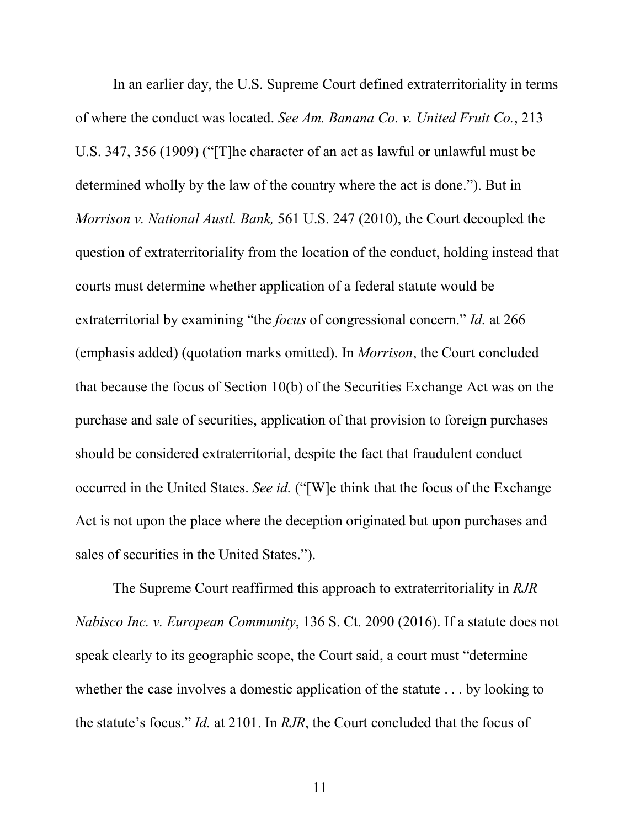In an earlier day, the U.S. Supreme Court defined extraterritoriality in terms of where the conduct was located. *See Am. Banana Co. v. United Fruit Co.*, 213 U.S. 347, 356 (1909) ("[T]he character of an act as lawful or unlawful must be determined wholly by the law of the country where the act is done."). But in *Morrison v. National Austl. Bank,* 561 U.S. 247 (2010), the Court decoupled the question of extraterritoriality from the location of the conduct, holding instead that courts must determine whether application of a federal statute would be extraterritorial by examining "the *focus* of congressional concern." *Id.* at 266 (emphasis added) (quotation marks omitted). In *Morrison*, the Court concluded that because the focus of Section 10(b) of the Securities Exchange Act was on the purchase and sale of securities, application of that provision to foreign purchases should be considered extraterritorial, despite the fact that fraudulent conduct occurred in the United States. *See id.* ("[W]e think that the focus of the Exchange Act is not upon the place where the deception originated but upon purchases and sales of securities in the United States.").

The Supreme Court reaffirmed this approach to extraterritoriality in *RJR Nabisco Inc. v. European Community*, 136 S. Ct. 2090 (2016). If a statute does not speak clearly to its geographic scope, the Court said, a court must "determine whether the case involves a domestic application of the statute . . . by looking to the statute's focus." *Id.* at 2101. In *RJR*, the Court concluded that the focus of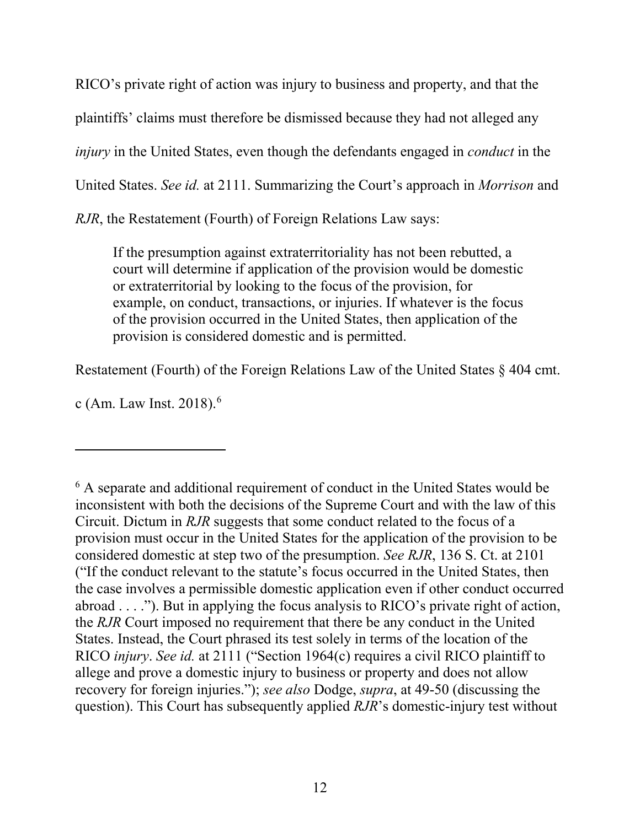RICO's private right of action was injury to business and property, and that the plaintiffs' claims must therefore be dismissed because they had not alleged any *injury* in the United States, even though the defendants engaged in *conduct* in the United States. *See id.* at 2111. Summarizing the Court's approach in *Morrison* and *RJR*, the Restatement (Fourth) of Foreign Relations Law says:

If the presumption against extraterritoriality has not been rebutted, a court will determine if application of the provision would be domestic or extraterritorial by looking to the focus of the provision, for example, on conduct, transactions, or injuries. If whatever is the focus of the provision occurred in the United States, then application of the provision is considered domestic and is permitted.

Restatement (Fourth) of the Foreign Relations Law of the United States § 404 cmt.

c (Am. Law Inst.  $2018$ ).<sup>6</sup>

l

<span id="page-17-0"></span><sup>6</sup> A separate and additional requirement of conduct in the United States would be inconsistent with both the decisions of the Supreme Court and with the law of this Circuit. Dictum in *RJR* suggests that some conduct related to the focus of a provision must occur in the United States for the application of the provision to be considered domestic at step two of the presumption. *See RJR*, 136 S. Ct. at 2101 ("If the conduct relevant to the statute's focus occurred in the United States, then the case involves a permissible domestic application even if other conduct occurred abroad . . . ."). But in applying the focus analysis to RICO's private right of action, the *RJR* Court imposed no requirement that there be any conduct in the United States. Instead, the Court phrased its test solely in terms of the location of the RICO *injury*. *See id.* at 2111 ("Section 1964(c) requires a civil RICO plaintiff to allege and prove a domestic injury to business or property and does not allow recovery for foreign injuries."); *see also* Dodge, *supra*, at 49-50 (discussing the question). This Court has subsequently applied *RJR*'s domestic-injury test without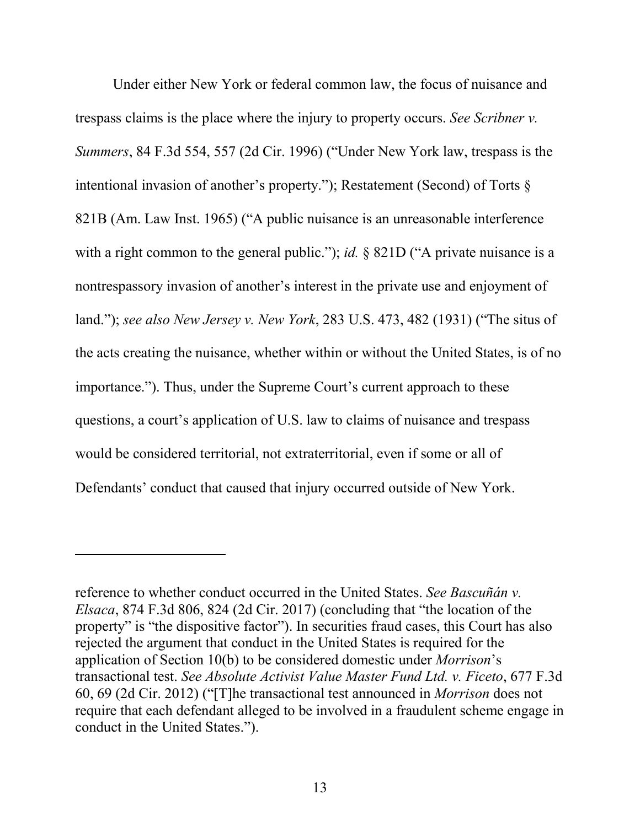Under either New York or federal common law, the focus of nuisance and trespass claims is the place where the injury to property occurs. *See Scribner v. Summers*, 84 F.3d 554, 557 (2d Cir. 1996) ("Under New York law, trespass is the intentional invasion of another's property."); Restatement (Second) of Torts § 821B (Am. Law Inst. 1965) ("A public nuisance is an unreasonable interference with a right common to the general public."); *id.* § 821D ("A private nuisance is a nontrespassory invasion of another's interest in the private use and enjoyment of land."); *see also New Jersey v. New York*, 283 U.S. 473, 482 (1931) ("The situs of the acts creating the nuisance, whether within or without the United States, is of no importance."). Thus, under the Supreme Court's current approach to these questions, a court's application of U.S. law to claims of nuisance and trespass would be considered territorial, not extraterritorial, even if some or all of Defendants' conduct that caused that injury occurred outside of New York.

 $\overline{\phantom{a}}$ 

reference to whether conduct occurred in the United States. *See Bascuñán v. Elsaca*, 874 F.3d 806, 824 (2d Cir. 2017) (concluding that "the location of the property" is "the dispositive factor"). In securities fraud cases, this Court has also rejected the argument that conduct in the United States is required for the application of Section 10(b) to be considered domestic under *Morrison*'s transactional test. *See Absolute Activist Value Master Fund Ltd. v. Ficeto*, 677 F.3d 60, 69 (2d Cir. 2012) ("[T]he transactional test announced in *Morrison* does not require that each defendant alleged to be involved in a fraudulent scheme engage in conduct in the United States.").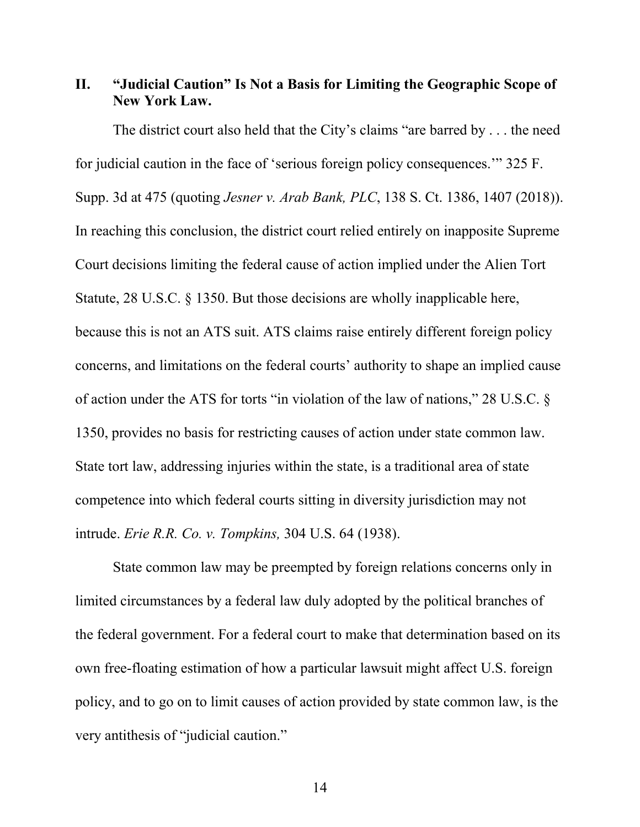# <span id="page-19-0"></span>**II. "Judicial Caution" Is Not a Basis for Limiting the Geographic Scope of New York Law.**

The district court also held that the City's claims "are barred by . . . the need for judicial caution in the face of 'serious foreign policy consequences.'" 325 F. Supp. 3d at 475 (quoting *Jesner v. Arab Bank, PLC*, 138 S. Ct. 1386, 1407 (2018)). In reaching this conclusion, the district court relied entirely on inapposite Supreme Court decisions limiting the federal cause of action implied under the Alien Tort Statute, 28 U.S.C. § 1350. But those decisions are wholly inapplicable here, because this is not an ATS suit. ATS claims raise entirely different foreign policy concerns, and limitations on the federal courts' authority to shape an implied cause of action under the ATS for torts "in violation of the law of nations," 28 U.S.C. § 1350, provides no basis for restricting causes of action under state common law. State tort law, addressing injuries within the state, is a traditional area of state competence into which federal courts sitting in diversity jurisdiction may not intrude. *Erie R.R. Co. v. Tompkins,* 304 U.S. 64 (1938).

State common law may be preempted by foreign relations concerns only in limited circumstances by a federal law duly adopted by the political branches of the federal government. For a federal court to make that determination based on its own free-floating estimation of how a particular lawsuit might affect U.S. foreign policy, and to go on to limit causes of action provided by state common law, is the very antithesis of "judicial caution."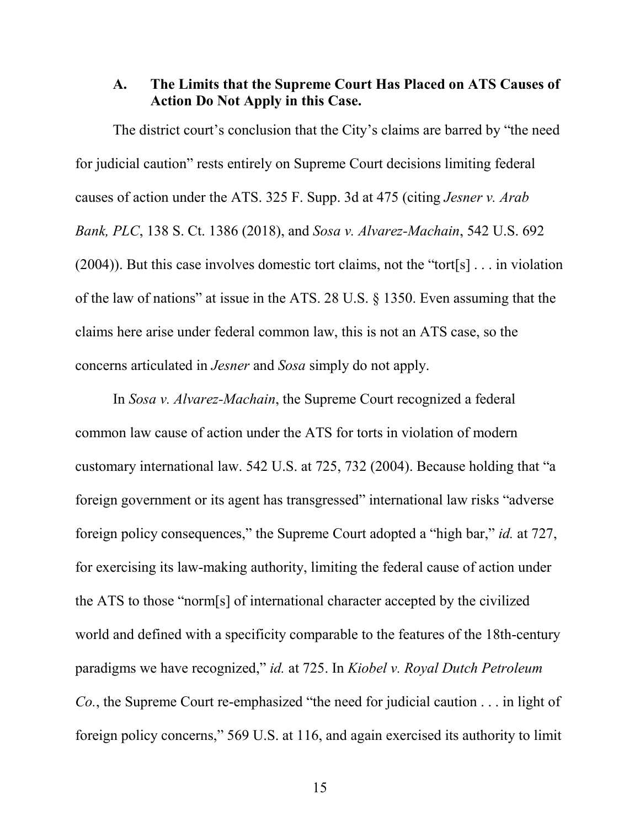## **A. The Limits that the Supreme Court Has Placed on ATS Causes of Action Do Not Apply in this Case.**

The district court's conclusion that the City's claims are barred by "the need for judicial caution" rests entirely on Supreme Court decisions limiting federal causes of action under the ATS. 325 F. Supp. 3d at 475 (citing *Jesner v. Arab Bank, PLC*, 138 S. Ct. 1386 (2018), and *Sosa v. Alvarez-Machain*, 542 U.S. 692 (2004)). But this case involves domestic tort claims, not the "tort[s] . . . in violation of the law of nations" at issue in the ATS. 28 U.S. § 1350. Even assuming that the claims here arise under federal common law, this is not an ATS case, so the concerns articulated in *Jesner* and *Sosa* simply do not apply.

In *Sosa v. Alvarez-Machain*, the Supreme Court recognized a federal common law cause of action under the ATS for torts in violation of modern customary international law. 542 U.S. at 725, 732 (2004). Because holding that "a foreign government or its agent has transgressed" international law risks "adverse foreign policy consequences," the Supreme Court adopted a "high bar," *id.* at 727, for exercising its law-making authority, limiting the federal cause of action under the ATS to those "norm[s] of international character accepted by the civilized world and defined with a specificity comparable to the features of the 18th-century paradigms we have recognized," *id.* at 725. In *Kiobel v. Royal Dutch Petroleum Co.*, the Supreme Court re-emphasized "the need for judicial caution . . . in light of foreign policy concerns," 569 U.S. at 116, and again exercised its authority to limit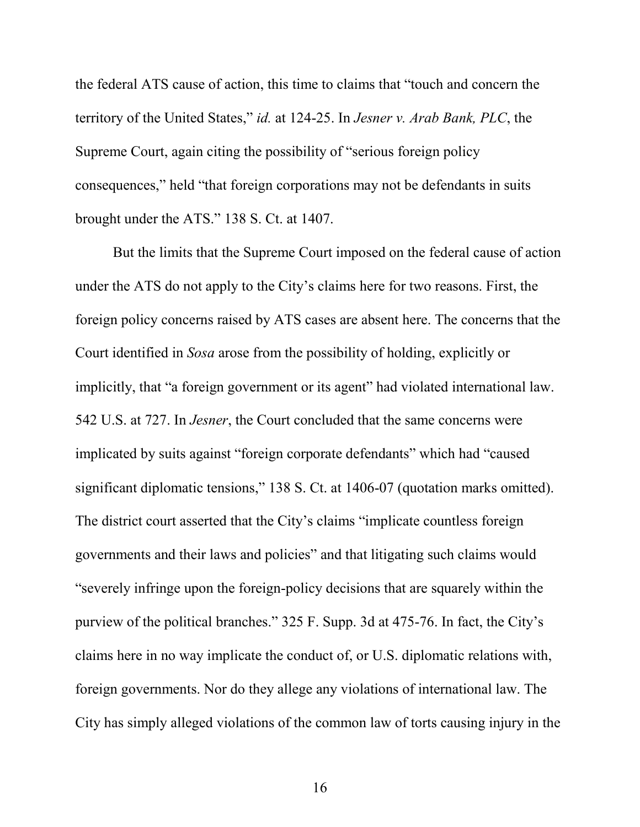the federal ATS cause of action, this time to claims that "touch and concern the territory of the United States," *id.* at 124-25. In *Jesner v. Arab Bank, PLC*, the Supreme Court, again citing the possibility of "serious foreign policy consequences," held "that foreign corporations may not be defendants in suits brought under the ATS." 138 S. Ct. at 1407.

But the limits that the Supreme Court imposed on the federal cause of action under the ATS do not apply to the City's claims here for two reasons. First, the foreign policy concerns raised by ATS cases are absent here. The concerns that the Court identified in *Sosa* arose from the possibility of holding, explicitly or implicitly, that "a foreign government or its agent" had violated international law. 542 U.S. at 727. In *Jesner*, the Court concluded that the same concerns were implicated by suits against "foreign corporate defendants" which had "caused significant diplomatic tensions," 138 S. Ct. at 1406-07 (quotation marks omitted). The district court asserted that the City's claims "implicate countless foreign governments and their laws and policies" and that litigating such claims would "severely infringe upon the foreign-policy decisions that are squarely within the purview of the political branches." 325 F. Supp. 3d at 475-76. In fact, the City's claims here in no way implicate the conduct of, or U.S. diplomatic relations with, foreign governments. Nor do they allege any violations of international law. The City has simply alleged violations of the common law of torts causing injury in the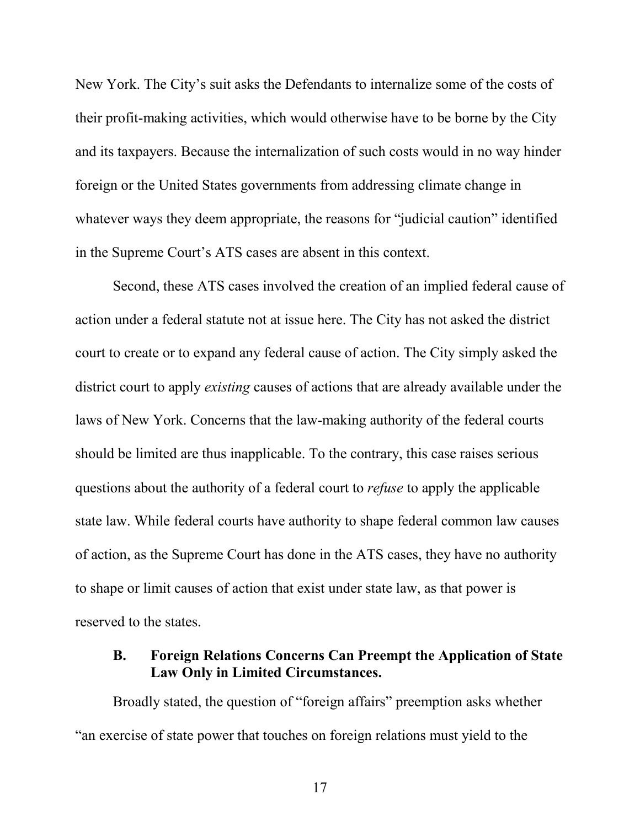New York. The City's suit asks the Defendants to internalize some of the costs of their profit-making activities, which would otherwise have to be borne by the City and its taxpayers. Because the internalization of such costs would in no way hinder foreign or the United States governments from addressing climate change in whatever ways they deem appropriate, the reasons for "judicial caution" identified in the Supreme Court's ATS cases are absent in this context.

Second, these ATS cases involved the creation of an implied federal cause of action under a federal statute not at issue here. The City has not asked the district court to create or to expand any federal cause of action. The City simply asked the district court to apply *existing* causes of actions that are already available under the laws of New York. Concerns that the law-making authority of the federal courts should be limited are thus inapplicable. To the contrary, this case raises serious questions about the authority of a federal court to *refuse* to apply the applicable state law. While federal courts have authority to shape federal common law causes of action, as the Supreme Court has done in the ATS cases, they have no authority to shape or limit causes of action that exist under state law, as that power is reserved to the states.

## **B. Foreign Relations Concerns Can Preempt the Application of State Law Only in Limited Circumstances.**

Broadly stated, the question of "foreign affairs" preemption asks whether "an exercise of state power that touches on foreign relations must yield to the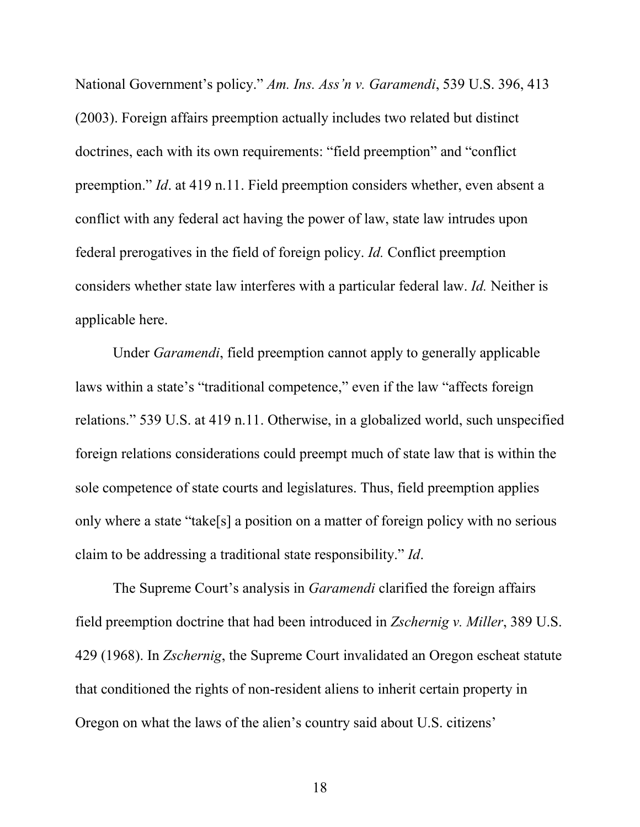National Government's policy." *Am. Ins. Ass'n v. Garamendi*, 539 U.S. 396, 413 (2003). Foreign affairs preemption actually includes two related but distinct doctrines, each with its own requirements: "field preemption" and "conflict preemption." *Id*. at 419 n.11. Field preemption considers whether, even absent a conflict with any federal act having the power of law, state law intrudes upon federal prerogatives in the field of foreign policy. *Id.* Conflict preemption considers whether state law interferes with a particular federal law. *Id.* Neither is applicable here.

Under *Garamendi*, field preemption cannot apply to generally applicable laws within a state's "traditional competence," even if the law "affects foreign relations." 539 U.S. at 419 n.11. Otherwise, in a globalized world, such unspecified foreign relations considerations could preempt much of state law that is within the sole competence of state courts and legislatures. Thus, field preemption applies only where a state "take[s] a position on a matter of foreign policy with no serious claim to be addressing a traditional state responsibility." *Id*.

The Supreme Court's analysis in *Garamendi* clarified the foreign affairs field preemption doctrine that had been introduced in *Zschernig v. Miller*, 389 U.S. 429 (1968). In *Zschernig*, the Supreme Court invalidated an Oregon escheat statute that conditioned the rights of non-resident aliens to inherit certain property in Oregon on what the laws of the alien's country said about U.S. citizens'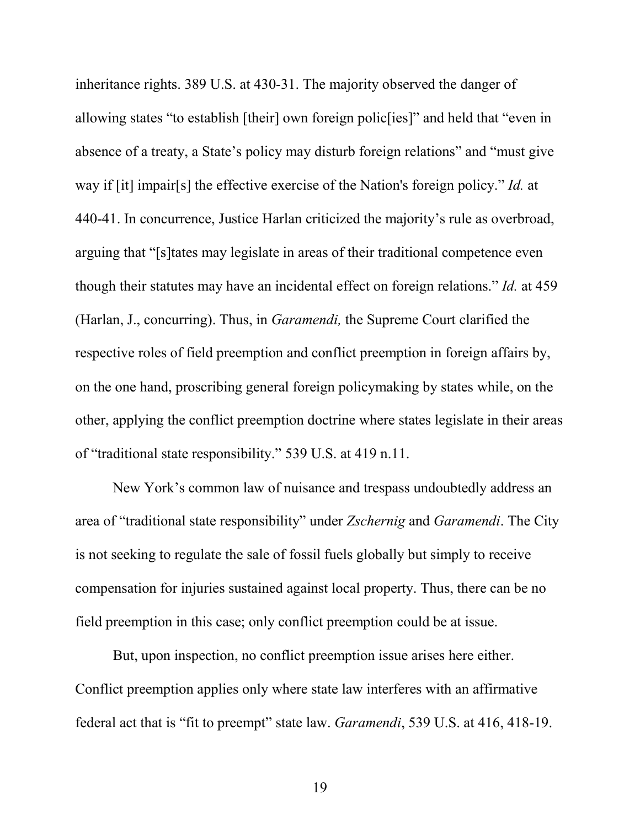inheritance rights. 389 U.S. at 430-31. The majority observed the danger of allowing states "to establish [their] own foreign polic[ies]" and held that "even in absence of a treaty, a State's policy may disturb foreign relations" and "must give way if [it] impair[s] the effective exercise of the Nation's foreign policy." *Id.* at 440-41. In concurrence, Justice Harlan criticized the majority's rule as overbroad, arguing that "[s]tates may legislate in areas of their traditional competence even though their statutes may have an incidental effect on foreign relations." *Id.* at 459 (Harlan, J., concurring). Thus, in *Garamendi,* the Supreme Court clarified the respective roles of field preemption and conflict preemption in foreign affairs by, on the one hand, proscribing general foreign policymaking by states while, on the other, applying the conflict preemption doctrine where states legislate in their areas of "traditional state responsibility." 539 U.S. at 419 n.11.

New York's common law of nuisance and trespass undoubtedly address an area of "traditional state responsibility" under *Zschernig* and *Garamendi*. The City is not seeking to regulate the sale of fossil fuels globally but simply to receive compensation for injuries sustained against local property. Thus, there can be no field preemption in this case; only conflict preemption could be at issue.

But, upon inspection, no conflict preemption issue arises here either. Conflict preemption applies only where state law interferes with an affirmative federal act that is "fit to preempt" state law. *Garamendi*, 539 U.S. at 416, 418-19.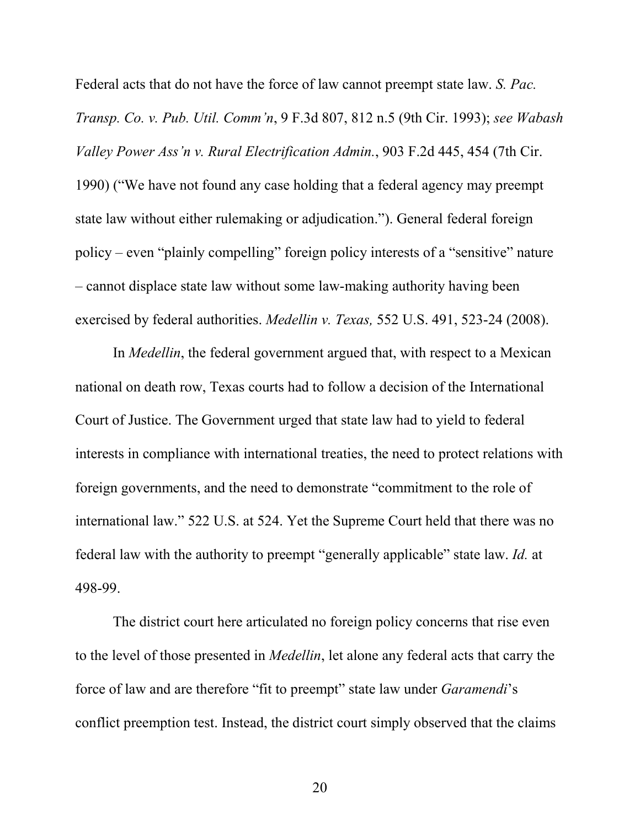Federal acts that do not have the force of law cannot preempt state law. *S. Pac. Transp. Co. v. Pub. Util. Comm'n*, 9 F.3d 807, 812 n.5 (9th Cir. 1993); *see Wabash Valley Power Ass'n v. Rural Electrification Admin.*, 903 F.2d 445, 454 (7th Cir. 1990) ("We have not found any case holding that a federal agency may preempt state law without either rulemaking or adjudication."). General federal foreign policy – even "plainly compelling" foreign policy interests of a "sensitive" nature – cannot displace state law without some law-making authority having been exercised by federal authorities. *Medellin v. Texas,* 552 U.S. 491, 523-24 (2008).

In *Medellin*, the federal government argued that, with respect to a Mexican national on death row, Texas courts had to follow a decision of the International Court of Justice. The Government urged that state law had to yield to federal interests in compliance with international treaties, the need to protect relations with foreign governments, and the need to demonstrate "commitment to the role of international law." 522 U.S. at 524. Yet the Supreme Court held that there was no federal law with the authority to preempt "generally applicable" state law. *Id.* at 498-99.

The district court here articulated no foreign policy concerns that rise even to the level of those presented in *Medellin*, let alone any federal acts that carry the force of law and are therefore "fit to preempt" state law under *Garamendi*'s conflict preemption test. Instead, the district court simply observed that the claims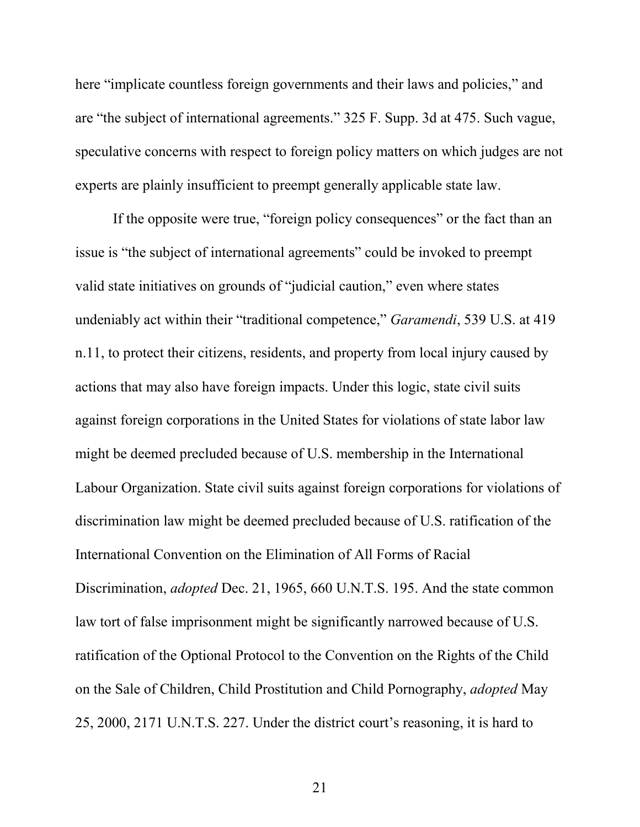here "implicate countless foreign governments and their laws and policies," and are "the subject of international agreements." 325 F. Supp. 3d at 475. Such vague, speculative concerns with respect to foreign policy matters on which judges are not experts are plainly insufficient to preempt generally applicable state law.

If the opposite were true, "foreign policy consequences" or the fact than an issue is "the subject of international agreements" could be invoked to preempt valid state initiatives on grounds of "judicial caution," even where states undeniably act within their "traditional competence," *Garamendi*, 539 U.S. at 419 n.11, to protect their citizens, residents, and property from local injury caused by actions that may also have foreign impacts. Under this logic, state civil suits against foreign corporations in the United States for violations of state labor law might be deemed precluded because of U.S. membership in the International Labour Organization. State civil suits against foreign corporations for violations of discrimination law might be deemed precluded because of U.S. ratification of the International Convention on the Elimination of All Forms of Racial Discrimination, *adopted* Dec. 21, 1965, 660 U.N.T.S. 195. And the state common law tort of false imprisonment might be significantly narrowed because of U.S. ratification of the Optional Protocol to the Convention on the Rights of the Child on the Sale of Children, Child Prostitution and Child Pornography, *adopted* May 25, 2000, 2171 U.N.T.S. 227. Under the district court's reasoning, it is hard to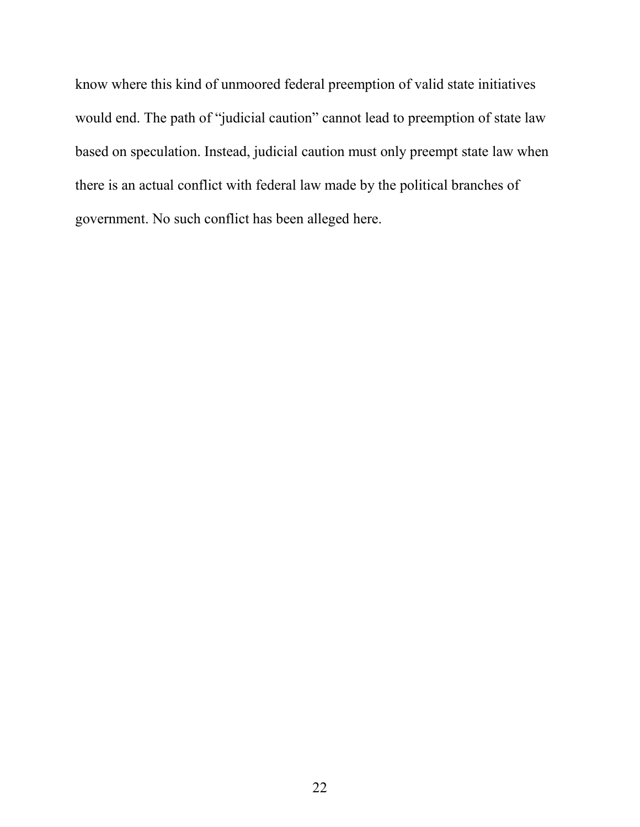know where this kind of unmoored federal preemption of valid state initiatives would end. The path of "judicial caution" cannot lead to preemption of state law based on speculation. Instead, judicial caution must only preempt state law when there is an actual conflict with federal law made by the political branches of government. No such conflict has been alleged here.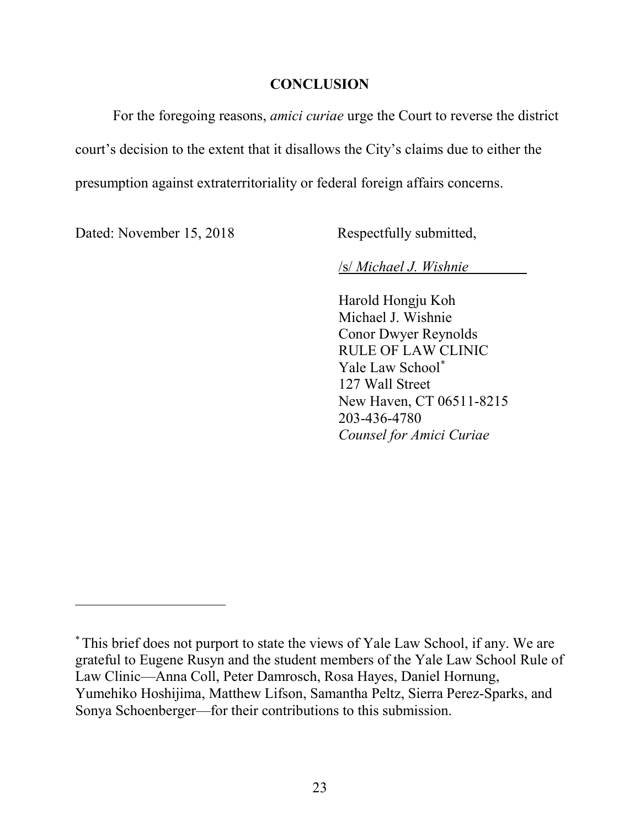#### **CONCLUSION**

<span id="page-28-0"></span>For the foregoing reasons, *amici curiae* urge the Court to reverse the district court's decision to the extent that it disallows the City's claims due to either the presumption against extraterritoriality or federal foreign affairs concerns.

Dated: November 15, 2018 Respectfully submitted,

l

/s/ *Michael J. Wishnie*

Harold Hongju Koh Michael J. Wishnie Conor Dwyer Reynolds RULE OF LAW CLINIC Yale Law School**[\\*](#page-28-1)** 127 Wall Street New Haven, CT 06511-8215 203-436-4780 *Counsel for Amici Curiae*

<span id="page-28-1"></span><sup>\*</sup>This brief does not purport to state the views of Yale Law School, if any. We are grateful to Eugene Rusyn and the student members of the Yale Law School Rule of Law Clinic—Anna Coll, Peter Damrosch, Rosa Hayes, Daniel Hornung, Yumehiko Hoshijima, Matthew Lifson, Samantha Peltz, Sierra Perez-Sparks, and Sonya Schoenberger—for their contributions to this submission.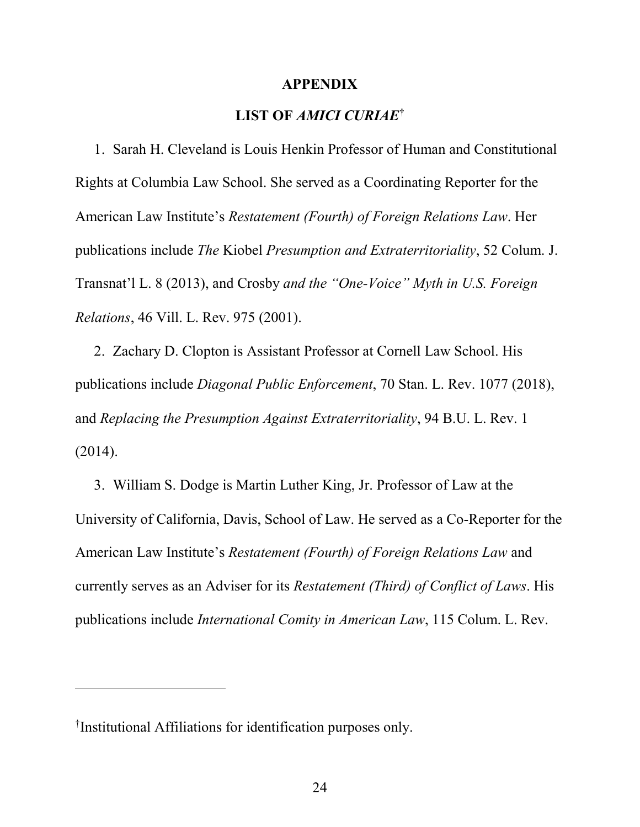#### **APPENDIX**

#### **LIST OF** *AMICI CURIAE***[†](#page-29-1)**

<span id="page-29-0"></span>1. Sarah H. Cleveland is Louis Henkin Professor of Human and Constitutional Rights at Columbia Law School. She served as a Coordinating Reporter for the American Law Institute's *Restatement (Fourth) of Foreign Relations Law*. Her publications include *The* Kiobel *Presumption and Extraterritoriality*, 52 Colum. J. Transnat'l L. 8 (2013), and Crosby *and the "One-Voice" Myth in U.S. Foreign Relations*, 46 Vill. L. Rev. 975 (2001).

2. Zachary D. Clopton is Assistant Professor at Cornell Law School. His publications include *Diagonal Public Enforcement*, 70 Stan. L. Rev. 1077 (2018), and *Replacing the Presumption Against Extraterritoriality*, 94 B.U. L. Rev. 1 (2014).

3. William S. Dodge is Martin Luther King, Jr. Professor of Law at the University of California, Davis, School of Law. He served as a Co-Reporter for the American Law Institute's *Restatement (Fourth) of Foreign Relations Law* and currently serves as an Adviser for its *Restatement (Third) of Conflict of Laws*. His publications include *International Comity in American Law*, 115 Colum. L. Rev.

 $\overline{a}$ 

<span id="page-29-1"></span><sup>†</sup> Institutional Affiliations for identification purposes only.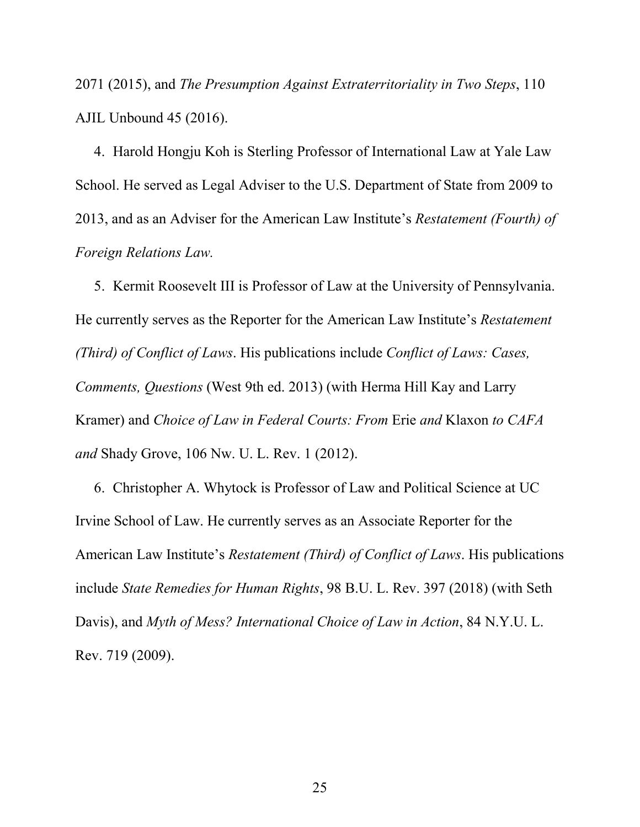2071 (2015), and *The Presumption Against Extraterritoriality in Two Steps*, 110 AJIL Unbound 45 (2016).

4. Harold Hongju Koh is Sterling Professor of International Law at Yale Law School. He served as Legal Adviser to the U.S. Department of State from 2009 to 2013, and as an Adviser for the American Law Institute's *Restatement (Fourth) of Foreign Relations Law.*

5. Kermit Roosevelt III is Professor of Law at the University of Pennsylvania. He currently serves as the Reporter for the American Law Institute's *Restatement (Third) of Conflict of Laws*. His publications include *Conflict of Laws: Cases, Comments, Questions* (West 9th ed. 2013) (with Herma Hill Kay and Larry Kramer) and *Choice of Law in Federal Courts: From* Erie *and* Klaxon *to CAFA and* Shady Grove, 106 Nw. U. L. Rev. 1 (2012).

6. Christopher A. Whytock is Professor of Law and Political Science at UC Irvine School of Law. He currently serves as an Associate Reporter for the American Law Institute's *Restatement (Third) of Conflict of Laws*. His publications include *State Remedies for Human Rights*, 98 B.U. L. Rev. 397 (2018) (with Seth Davis), and *Myth of Mess? International Choice of Law in Action*, 84 N.Y.U. L. Rev. 719 (2009).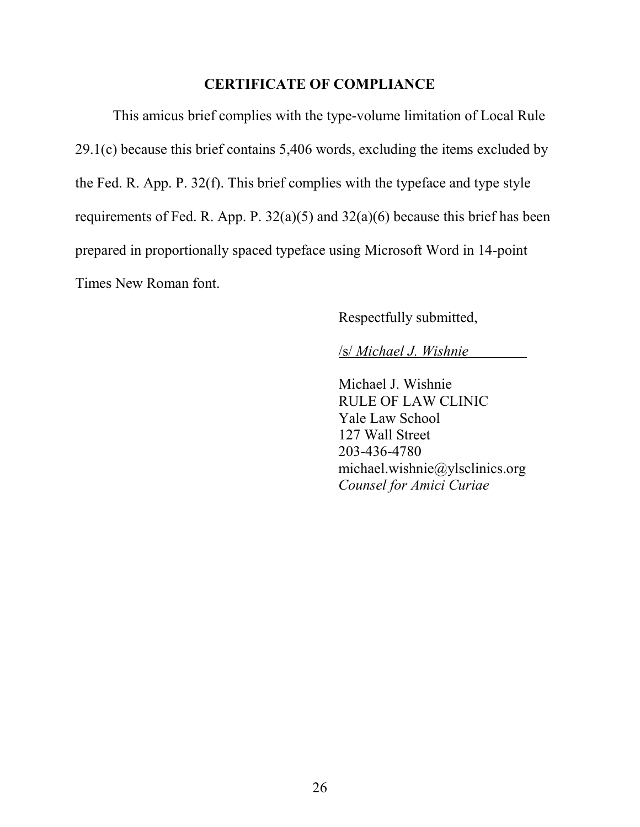#### **CERTIFICATE OF COMPLIANCE**

<span id="page-31-0"></span>This amicus brief complies with the type-volume limitation of Local Rule 29.1(c) because this brief contains 5,406 words, excluding the items excluded by the Fed. R. App. P. 32(f). This brief complies with the typeface and type style requirements of Fed. R. App. P. 32(a)(5) and 32(a)(6) because this brief has been prepared in proportionally spaced typeface using Microsoft Word in 14-point Times New Roman font.

# Respectfully submitted,

#### /s/ *Michael J. Wishnie*

Michael J. Wishnie RULE OF LAW CLINIC Yale Law School 127 Wall Street 203-436-4780 michael.wishnie@ylsclinics.org *Counsel for Amici Curiae*